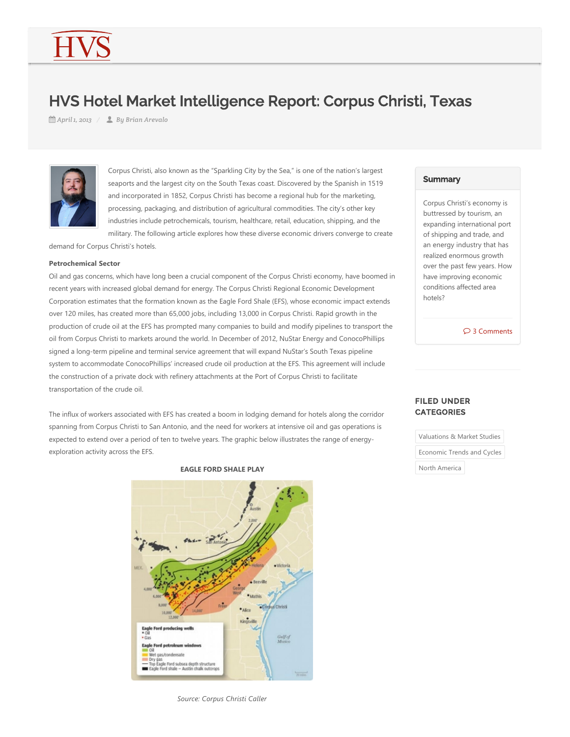# HVS Hotel Market Intelligence Report: Corpus Christi, Texas

*April 1, 2013 By Brian Arevalo*



Corpus Christi, also known as the "Sparkling City by the Sea," is one of the nation's largest seaports and the largest city on the South Texas coast. Discovered by the Spanish in 1519 and incorporated in 1852, Corpus Christi has become a regional hub for the marketing, processing, packaging, and distribution of agricultural commodities. The city's other key industries include petrochemicals, tourism, healthcare, retail, education, shipping, and the military. The following article explores how these diverse economic drivers converge to create

demand for Corpus Christi's hotels.

#### **Petrochemical Sector**

Oil and gas concerns, which have long been a crucial component of the Corpus Christi economy, have boomed in recent years with increased global demand for energy. The Corpus Christi Regional Economic Development Corporation estimates that the formation known as the Eagle Ford Shale (EFS), whose economic impact extends over 120 miles, has created more than 65,000 jobs, including 13,000 in Corpus Christi. Rapid growth in the production of crude oil at the EFS has prompted many companies to build and modify pipelines to transport the oil from Corpus Christi to markets around the world. In December of 2012, NuStar Energy and ConocoPhillips signed a long-term pipeline and terminal service agreement that will expand NuStar's South Texas pipeline system to accommodate ConocoPhillips' increased crude oil production at the EFS. This agreement will include the construction of a private dock with refinery attachments at the Port of Corpus Christi to facilitate transportation of the crude oil.

The influx of workers associated with EFS has created a boom in lodging demand for hotels along the corridor spanning from Corpus Christi to San Antonio, and the need for workers at intensive oil and gas operations is expected to extend over a period of ten to twelve years. The graphic below illustrates the range of energyexploration activity across the EFS.

#### **EAGLE FORD SHALE PLAY**



### *Source: Corpus Christi Caller*

# **Summary**

Corpus Christi's economy is buttressed by tourism, an expanding international port of shipping and trade, and an energy industry that has realized enormous growth over the past few years. How have improving economic conditions affected area hotels?

3 Comments

# FILED UNDER **CATEGORIES**

Valuations & Market Studies

Economic Trends and Cycles

North America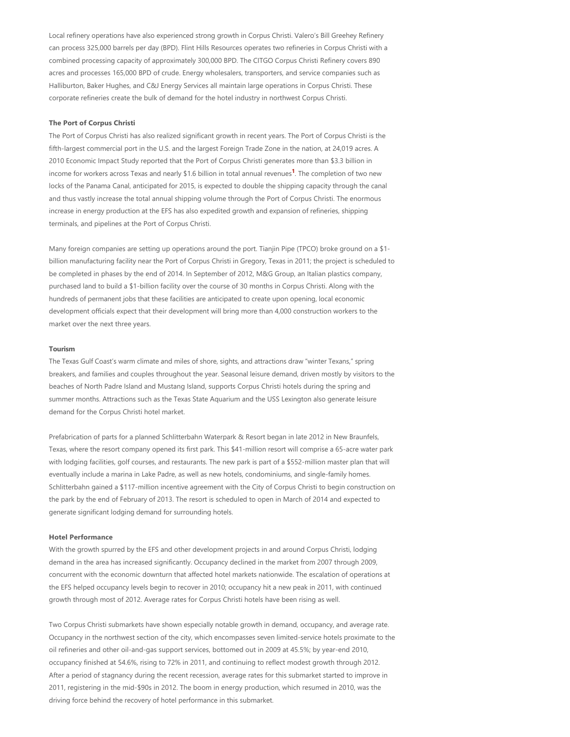Local refinery operations have also experienced strong growth in Corpus Christi. Valero's Bill Greehey Refinery can process 325,000 barrels per day (BPD). Flint Hills Resources operates two refineries in Corpus Christi with a combined processing capacity of approximately 300,000 BPD. The CITGO Corpus Christi Refinery covers 890 acres and processes 165,000 BPD of crude. Energy wholesalers, transporters, and service companies such as Halliburton, Baker Hughes, and C&J Energy Services all maintain large operations in Corpus Christi. These corporate refineries create the bulk of demand for the hotel industry in northwest Corpus Christi.

# **The Port of Corpus Christi**

<span id="page-1-0"></span>The Port of Corpus Christi has also realized significant growth in recent years. The Port of Corpus Christi is the fifth-largest commercial port in the U.S. and the largest Foreign Trade Zone in the nation, at 24,019 acres. A 2010 Economic Impact Study reported that the Port of Corpus Christi generates more than \$3.3 billion in income for workers across Texas and nearly \$1.6 billion in total annual revenues<sup>1</sup>. The completion of two new locks of the Panama Canal, anticipated for 2015, is expected to double the shipping capacity through the canal and thus vastly increase the total annual shipping volume through the Port of Corpus Christi. The enormous increase in energy production at the EFS has also expedited growth and expansion of refineries, shipping terminals, and pipelines at the Port of Corpus Christi.

Many foreign companies are setting up operations around the port. Tianjin Pipe (TPCO) broke ground on a \$1billion manufacturing facility near the Port of Corpus Christi in Gregory, Texas in 2011; the project is scheduled to be completed in phases by the end of 2014. In September of 2012, M&G Group, an Italian plastics company, purchased land to build a \$1‐billion facility over the course of 30 months in Corpus Christi. Along with the hundreds of permanent jobs that these facilities are anticipated to create upon opening, local economic development officials expect that their development will bring more than 4,000 construction workers to the market over the next three years.

#### **Tourism**

The Texas Gulf Coast's warm climate and miles of shore, sights, and attractions draw "winter Texans," spring breakers, and families and couples throughout the year. Seasonal leisure demand, driven mostly by visitors to the beaches of North Padre Island and Mustang Island, supports Corpus Christi hotels during the spring and summer months. Attractions such as the Texas State Aquarium and the USS Lexington also generate leisure demand for the Corpus Christi hotel market.

Prefabrication of parts for a planned Schlitterbahn Waterpark & Resort began in late 2012 in New Braunfels, Texas, where the resort company opened its first park. This \$41‐million resort will comprise a 65‐acre water park with lodging facilities, golf courses, and restaurants. The new park is part of a \$552-million master plan that will eventually include a marina in Lake Padre, as well as new hotels, condominiums, and single‐family homes. Schlitterbahn gained a \$117‐million incentive agreement with the City of Corpus Christi to begin construction on the park by the end of February of 2013. The resort is scheduled to open in March of 2014 and expected to generate significant lodging demand for surrounding hotels.

#### **Hotel Performance**

With the growth spurred by the EFS and other development projects in and around Corpus Christi, lodging demand in the area has increased significantly. Occupancy declined in the market from 2007 through 2009, concurrent with the economic downturn that affected hotel markets nationwide. The escalation of operations at the EFS helped occupancy levels begin to recover in 2010; occupancy hit a new peak in 2011, with continued growth through most of 2012. Average rates for Corpus Christi hotels have been rising as well.

Two Corpus Christi submarkets have shown especially notable growth in demand, occupancy, and average rate. Occupancy in the northwest section of the city, which encompasses seven limited-service hotels proximate to the oil refineries and other oil‐and‐gas support services, bottomed out in 2009 at 45.5%; by year‐end 2010, occupancy finished at 54.6%, rising to 72% in 2011, and continuing to reflect modest growth through 2012. After a period of stagnancy during the recent recession, average rates for this submarket started to improve in 2011, registering in the mid‐\$90s in 2012. The boom in energy production, which resumed in 2010, was the driving force behind the recovery of hotel performance in this submarket.